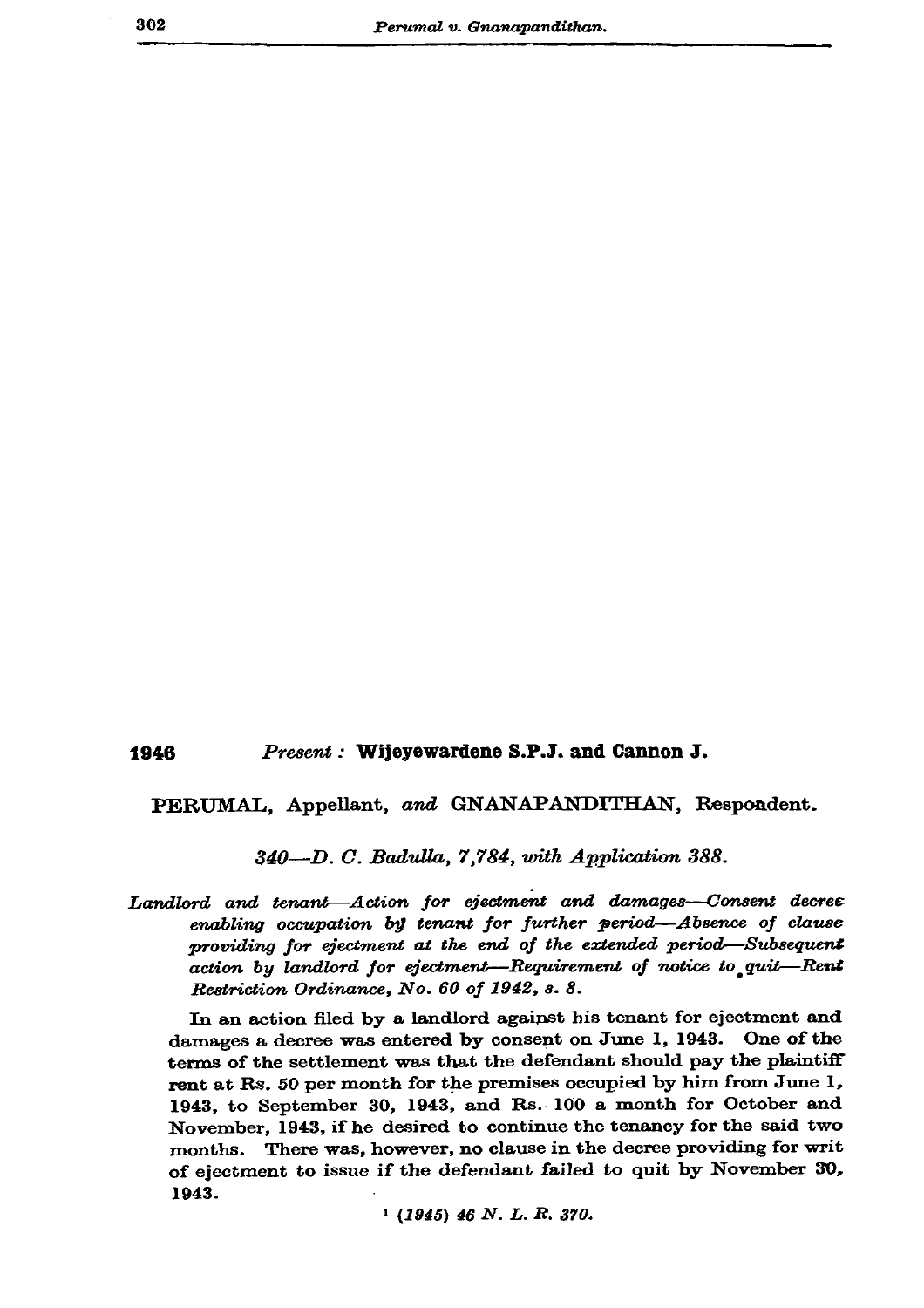302

## Present: Wijeyewardene S.P.J. and Cannon J. 1946

PERUMAL, Appellant, and GNANAPANDITHAN, Respondent.

340-D. C. Badulla, 7,784, with Application 388.

Landlord and tenant-Action for ejectment and damages-Consent decree enabling occupation by tenant for further period-Absence of clause providing for ejectment at the end of the extended period—Subsequent action by landlord for ejectment-Requirement of notice to quit-Rent Restriction Ordinance, No. 60 of 1942, s. 8.

In an action filed by a landlord against his tenant for ejectment and damages a decree was entered by consent on June 1, 1943. One of the terms of the settlement was that the defendant should pay the plaintiff rent at Rs. 50 per month for the premises occupied by him from June 1, 1943, to September 30, 1943, and Rs. 100 a month for October and November, 1943, if he desired to continue the tenancy for the said two months. There was, however, no clause in the decree providing for writ of ejectment to issue if the defendant failed to quit by November 30, 1943.

 $(1945)$  46 N.L.R. 370.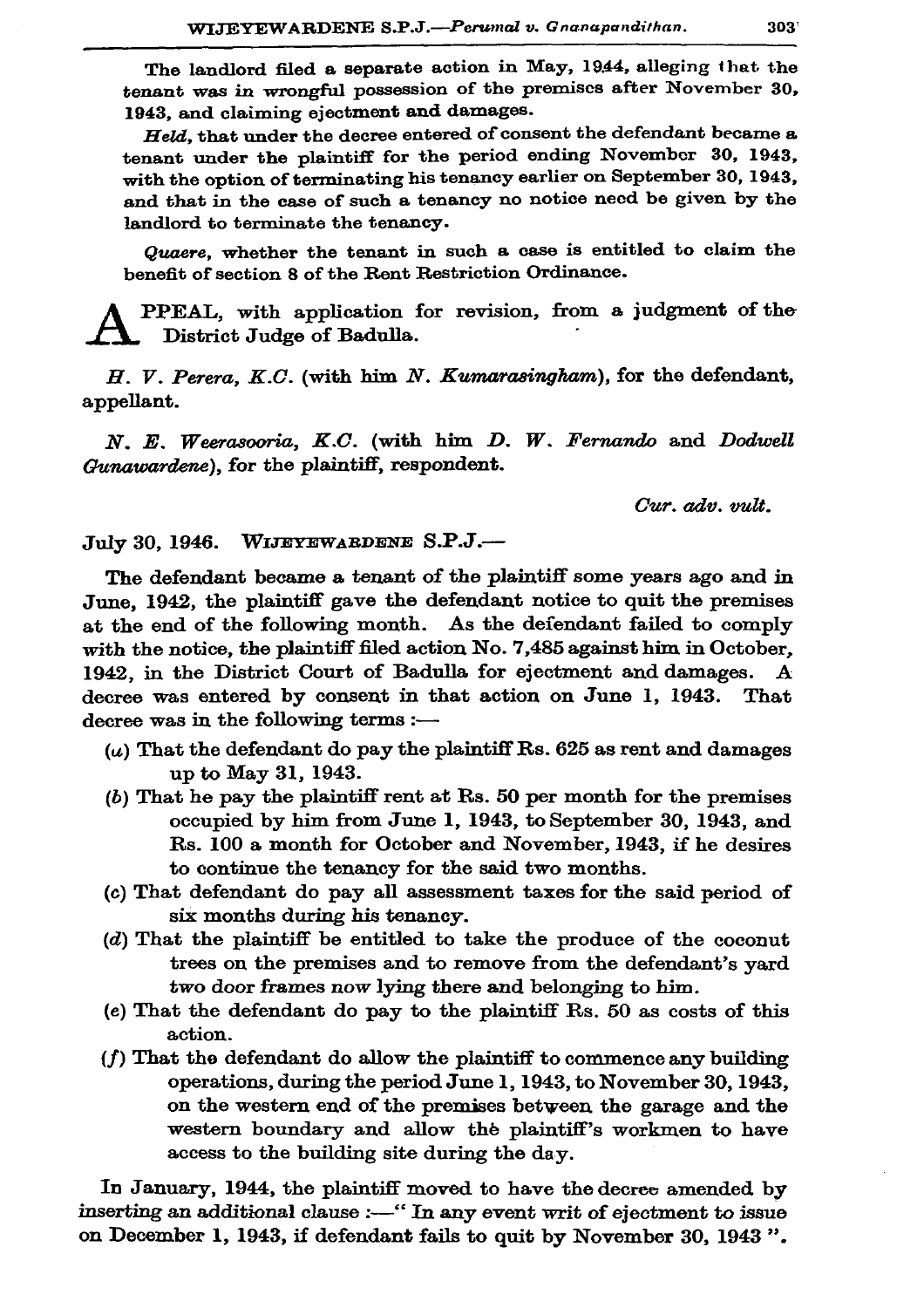The landlord filed a separate action in May, 1944, alleging that the tenant was in wrongful possession of the premiscs after November 30. 1943, and claiming ejectment and damages.

Held, that under the decree entered of consent the defendant became a tenant under the plaintiff for the period ending November 30, 1943. with the option of terminating his tenancy earlier on September 30, 1943. and that in the case of such a tenancy no notice need be given by the landlord to terminate the tenancy.

Quaere, whether the tenant in such a case is entitled to claim the benefit of section 8 of the Rent Restriction Ordinance.

PPEAL, with application for revision, from a judgment of the District Judge of Badulla.

H. V. Perera, K.C. (with him N. Kumarasingham), for the defendant, appellant.

N. E. Weerasooria, K.C. (with him D. W. Fernando and Dodwell Gunawardene), for the plaintiff, respondent.

Cur. adv. vult.

July 30, 1946. WIJEYEWARDENE S.P.J.-

The defendant became a tenant of the plaintiff some years ago and in June, 1942, the plaintiff gave the defendant notice to quit the premises at the end of the following month. As the defendant failed to comply with the notice, the plaintiff filed action No. 7,485 against him in October. 1942. in the District Court of Badulla for ejectment and damages.  $\mathbf{A}$ decree was entered by consent in that action on June 1, 1943. That decree was in the following terms :-

- $(u)$  That the defendant do pay the plaintiff Rs. 625 as rent and damages up to May 31, 1943.
- $(b)$  That he pay the plaintiff rent at Rs. 50 per month for the premises occupied by him from June 1, 1943, to September 30, 1943, and Rs. 100 a month for October and November, 1943, if he desires to continue the tenancy for the said two months.
- (c) That defendant do pay all assessment taxes for the said period of six months during his tenancy.
- $(d)$  That the plaintiff be entitled to take the produce of the coconut trees on the premises and to remove from the defendant's vard two door frames now lying there and belonging to him.
- (e) That the defendant do pay to the plaintiff Rs. 50 as costs of this action.
- (f) That the defendant do allow the plaintiff to commence any building operations, during the period June 1, 1943, to November 30, 1943, on the western end of the premises between the garage and the western boundary and allow the plaintiff's workmen to have access to the building site during the day.

In January, 1944, the plaintiff moved to have the decree amended by inserting an additional clause :- "In any event writ of ejectment to issue on December 1, 1943, if defendant fails to quit by November 30, 1943".